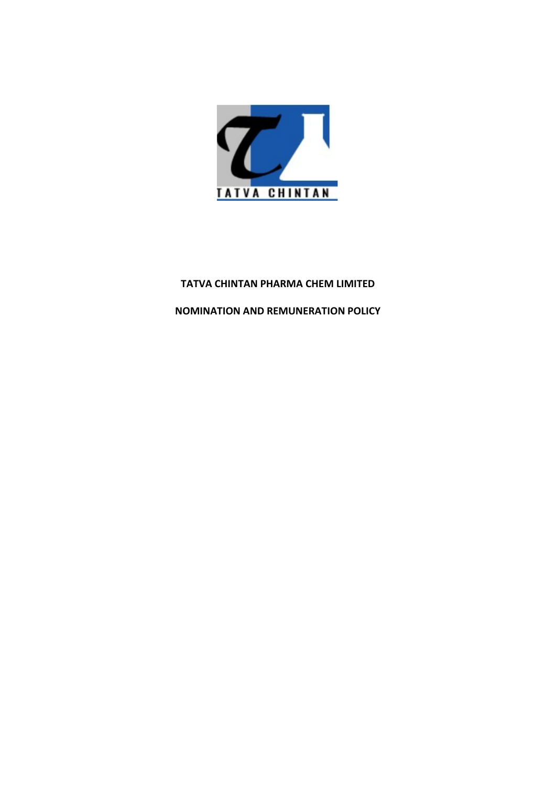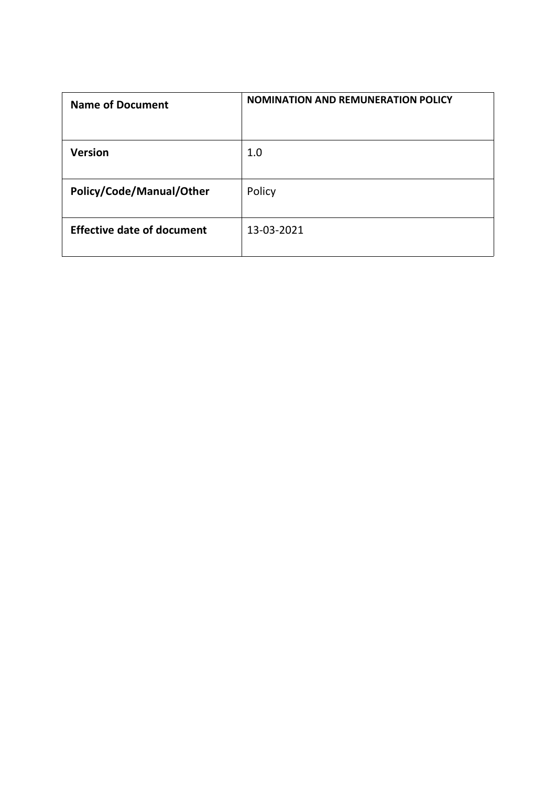| <b>Name of Document</b>           | <b>NOMINATION AND REMUNERATION POLICY</b> |
|-----------------------------------|-------------------------------------------|
| Version                           | 1.0                                       |
| Policy/Code/Manual/Other          | Policy                                    |
| <b>Effective date of document</b> | 13-03-2021                                |
|                                   |                                           |
|                                   |                                           |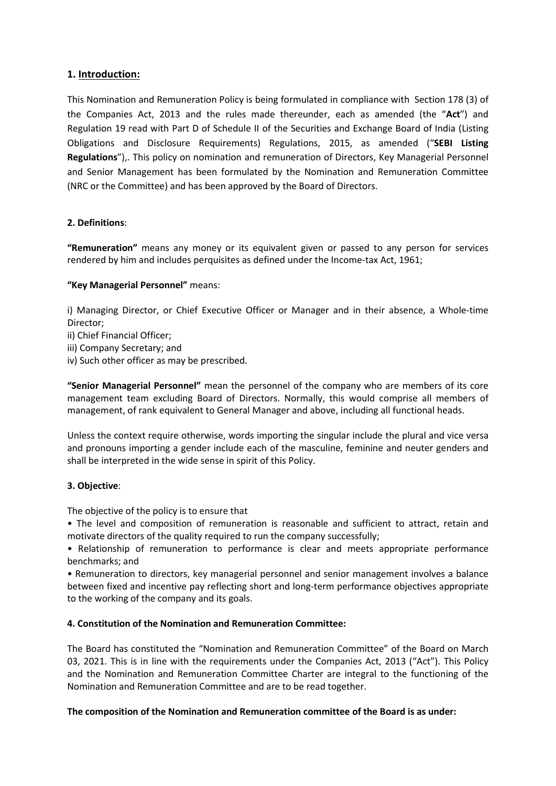**1. Introduction:**<br>This Nomination and Remuneration Policy is being formulated in compliance<br>the Companies Act, 2013 and the rules made thereunder, each as an<br>Regulation 19 read with Part D of Schedule II of the Securities **1. Introduction:**<br>This Nomination and Remuneration Policy is being formulated in compliance with Section 178 (3) of<br>the Companies Act, 2013 and the rules made thereunder, each as amended (the "**Act**") and<br>Regulation 19 re **1. Introduction:**<br>This Nomination and Remuneration Policy is being formulated in compliance with Section 178 (3) of<br>the Companies Act, 2013 and the rules made thereunder, each as amended (the "**Act**") and<br>Regulation 19 re **1. Introduction:**<br>This Nomination and Remuneration Policy is being formulated in compliance with Section 178 (3) of<br>the Companies Act, 2013 and the rules made thereunder, each as amended (the "**Act**") and<br>Regulation 19 re **1. Introduction:**<br>This Nomination and Remuneration Policy is being formulated in compliance with Section 178 (3) of<br>the Companies Act, 2013 and the rules made thereunder, each as amended (the "**Act**") and<br>Regulations 19 r **1. Introduction:**<br>This Nomination and Remuneration Policy is being formulated in compliance with Section 178 (3) of<br>the Companies Act, 2013 and the rules made thereunder, each as amended (the "**Act**") and<br>Regulation 19 re **1. Introduction:**<br>This Nomination and Remuneration Policy is being formulated in compliance with Section 178 (3) of<br>the Companies Act, 2013 and the rules made thereunder, each as amended (the "Act") and<br>Regulation 19 read **1. Introduction:**<br>This Nomination and Remuneration Policy is being formulated in compliance with Section 178 (3) of<br>the Companies Act, 2013 and the rules made thereunder, each as a amended (the "Act") and<br>Regulation 19 re **1. Introduction:**<br> **1. Introduction:**<br>
This Nomination and Remuneration Policy is being formulated in complianc<br>
the Companies Act, 2013 and the rules made thereunder, each as are<br>
Regulations and Disclosure Requirements) **1. Introduction:**<br> **This Nomination and Remuneration Policy is being formulated in compliance with Section 178 (3) of<br>
the Companies Act, 2013 and the rules made thereunder, each as amended (the "Act") and<br>
<b>Regulations 1. Introduction:**<br>This Nomination and Remuneration Policy is being formulated in compliance with Section 178 (3) of<br>the Companies Act, 2013 and the rules made thereunder, each as amended (the "**Act**") and<br>Regulations 3 re **1. Introduction:**<br> **1. Introduction:**<br> **This Nomination and Remuneration Policy is being formulated in compliance with Section**<br>
the Companies Act, 2013 and the rules made thereunder, each as amended (the "<br>
Regulations") i) Managing Director, or Chief Executive Officer or Manager and in their absence, a Whole-time This Nonmandon and nentinetation Tonty is being nontinated in Compilance with Securities Companies Act, 2013 and the rules made thereunder, each as amended (the "Regulation 19 read with Part D of Schedule II of the Securit the Companes Act, 2013 and the rules meat thereunder, each as amended (the "Act")<br>Regulation 19 read with Part D of Schedule II of the Securities and Exchange Board of India (Lis<br>Obligations and Disclosure Requirements) Re Regulation 19 read with Part D of Schedule II of the Securities and Exchange Board of India (Listing Obligations and Disclosure Requirements) Regulations, 2015, as amended ("SEBI Listing Regulations"). This policy on nomin **Regulations"**),. This policy on nomination and remuneration of Directors, Key Managerial Personnel<br>and Senior Management has been approved by the Nomination and Remuneration Committee<br>(NRC or the Committee) and has been a

Director;

- 
- 
- 

and Senior Management has been formulated by the Nomination and Remuneration Committee<br>
(NRC or the Committee) and has been approved by the Board of Directors.<br> **2. Definitions:**<br> **2. Definitions:**<br> **2. Definitions:**<br> **2.** (NRC or the Committee) and has been approved by the Board of Directors.<br> **2. Definitions:**<br> **2. Definitions:**<br> **"Remuneration"** means any money or its equivalent given or passed to any person for services<br> **"Remuneration"** 2. Definitions:<br>"Remuneration" means any money or its equivalent given or passed to any person for services<br>rendered by him and includes perquisites as defined under the Income-tax Act, 1961;<br>"Key Managerial Personnel" mea **2. Definitions:**<br>"**Remuneration"** means any money or its equivalent given or passed to any person for services<br>rendered by him and includes perquisites as defined under the Income-tax Act, 1961;<br>"**Key Managerial Personnel** "<br>
"Remuneration" means any money or its equivalent given or passed to any person for services<br>
"rendered by him and includes perquisites as defined under the Income-tax Act, 1961;<br>
"Key Managerial Personnel" means:<br>
Direc Franchered by him and includes perquisites as defined under the Income-tax  $\mu$ <br> **"Key Managerial Personne!"** means:<br>
(**)** Managing Director, or Chief Executive Officer or Manager and in their<br>
Director;<br>
(**ii)** Company Se "Key Managerial Personnel" means:<br>
i) Managing Director, or Chief Executive Officer or Manager and in their absence, a Whole-time<br>
Director;<br>
ii) Company Secretary; and<br>
ii) Company Secretary; and<br>
iii) Company Secretary; **FROM THE COMPUT THE SECT CONDUCT CONDUCT CONDUCT CONDUCT CONDUCT CONDUCT CONDUCT CONDUCT CONDUCT CONDUCT CONDUCT CONDUCT CONDUCT CONDUCT CONDUCT CONDUCT CONDUCT CONDUCT CONDUCT CONDUCT CONDUCT CONDUCT CONDUCT CONDUCT COND** 

i) Managing Director, or Chief Executive Officer or Manager and in their absence, a Whole-time<br>Director;<br>iii) Company Secretary; and<br>iii) Company Secretary; and<br>iii) Company Secretary; and<br>**"Senior Managerial Personnel"** m Frienancial Officer;<br>
iii) Company Secretary; and<br>
iii) Company Secretary; and<br>
iii) Company Secretary; and<br>
iii) Company Secretary; and<br>
"Senior Managerial Personnel" mean the personnel of the company who are members of i ii) Chief Financial Officer;<br>
iii) Company Secretary; and<br>
iii) Company Secretary; and<br>
"Senior Managerial Personnel" mean the personnel of the company who are members<br>
anagement team excluding Board of Directors. Normally Fraince of the compary secretary; and<br>
iii) Company Secretary; and<br>
"Senior Managerial Personnel" mean the personnel of the company who are members of its core<br>
"Senior Managerial Personnel" mean the personnel of the compa in) Such other officer as may be prescribed.<br>
We subject of the company who are members of its core<br>
"Senior Managerial Personnel" mean the personnel of the company who are members of its core<br>
management team excluding Bo "Senior Managerial Personnel" meant-<br>
"Senior Managerial Personnel" mean the personnel of the company who are members of its core<br>
"management team excluding Board of Directors. Normally, this would comprise all members of

management team excluding Board of Directors. Normally, this would comprise all members of<br>management, of rank equivalent to General Manager and above, including all functional heads.<br>Unless the context require otherwise, The about the constitution and Remuneration Committee is the Board is a suddenly and the constituted the policy<br>and pronouns importing a gender include each of the masculine, feminine and neuter genders and<br>shall be interp Unless the context require otherwise, words importing the singular include the plural and vice versa<br>
and pronouns importing a gender include each of the masculine, feminine and neuter genders and<br>
shall be interpreted in and pronouns importing a gender include each of the masculine, feminine and neuter genders and<br>shall be interpreted in the wide sense in spirit of this Policy.<br> **3. Objective:**<br>
The objective of the policy is to ensure tha Shall be interpreted in the wide sense in spirit of this Policy.<br> **3. Objective:**<br>
The objective of the policy is to ensure that<br>
• The love of the policy is to ensure that<br>
• Relationship of remuneration is reasonable and **3. Objective:**<br>The objective of the policy is to ensure that<br>
• The level and composition of remuneration is reasonable and sufficient to attract, retain and<br>
motivate directors of the quality required to run the company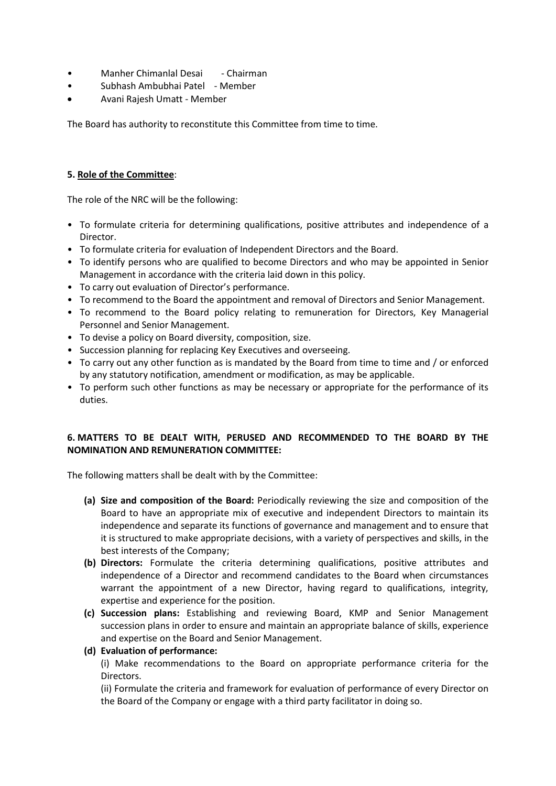- 
- 
- 

• Manher Chimanlal Desai - Chairman<br>• Subhash Ambubhai Patel - Member<br>• Avani Rajesh Umatt - Member<br>The Board has authority to reconstitute this Committee from time to time. • Subhash Ambubhai Patel - Member Avani Rajesh Umatt - Member **Manher Chimanial Desai** - Chairman<br> **Commission Ambubhai Patel - Member**<br>
The Board has authority to reconstitute this Committee from time to time.<br>
The Board has authority to reconstitute this Committee from time to time

- 5. Role of the Committee: **Manher Chimanial Desai** - Chairman<br> **•** Subhash Ambubhai Patel - Member<br> **The Board has authority to reconstitute this Committee from time to time.<br>
<b>5. <u>Role of the Committee</u>**:<br> **7.** The role of the NRC will be the foll • Manher Chimanlal Desai • Chairman<br>• Subhash Ambubhai Patel • Member<br>• Avani Rajesh Umatt - Member<br>• The Board has authority to reconstitute this Committee from time to time.<br>• To formulate criteria for determining qualif Director. • Manher Chimanlal Desai - Chairman<br>• Subhash Ambubhai Patel - Member<br>• Avani Rajesh Umatt - Member<br>• The Board has authority to reconstitute this Committee from time to time.<br>• The role of the Committee:<br>• To formulate cr
- 
- 
- 
- 
- Manher Chimanlal Desai chairman<br>• Subhash Ambubhai Patel Member<br>• Avani Rajesh Umatt Member<br>• The Board has authority to reconstitute this Committee from time to time.<br>• To formulate criteria for determining qualif Manher Chimanlal Desai - Chairman<br>
Subhash Ambubhai Patel - Member<br>
Avani Rajesh Umatt - Member<br>
Board has authority to reconstitute this Committee from time to time.<br>
Role of the NRC will be the following:<br>
To formulate c • Manher Chimanlal Desai - Chairman<br>• Subhash Ambubhai Patel - Member<br>• Avani Rajesh Umatt - Member<br>• The Board has authority to reconstitute this Committee from time to time.<br>• The role of the NRC will be the following:<br>• • Manher Chimanlal Desai - Chairman<br>• Subhash Amolubhai Patel - Member<br>• Avani Rajesh Umatt - Member<br>• The Board has authority to reconstitute this Committee from time to time.<br>• To formulate criteria for determining quali • Subhash Ambubhai Patel - Member<br>• Avani Rajesh Umatt - Member<br>
The Board has authority to reconstitute this Committee from time to time.<br>
• To formulate criteria for determining qualifications, positive attributes and in Avani Rajesh Umatt - Member<br>
Persond has authority to reconstitute this Committee from time to time.<br>
Person das authority to reconstitute this Committee from time to time.<br>
To formulate criteria for edetermining qualifica Fine Board has authority to reconstitute this Committee from time to time.<br>
• To formulate criteria for determining qualifications, positive attributes and independence of a<br>
• To formulate criteria for determining qualifi The Board has authority to reconstitute this Committee from time to time.<br> **5. Role of the Committee:**<br> **For committee:**<br>
• To formulate criteria for determining qualifications, positive attributes and independence of a<br>
• **Example 19 Constrained Solution** and state in the Board of the performance of a<br>
• To formulate criteria for determining qualifications, positive attributes and independence of a<br>
• To formulate criteria for evaluation of Role of the Committee:<br>
Proferomulate criteria for determining qualifications, positive attributes and independence of a<br>
To formulate criteria for determining qualifications, positive attributes and independence of a<br>
To **5. Role of the Committee:**<br>
• To formulate criteria for determining qualifications, positive attributes and independence of a<br>
• Director.<br>
• To formulate criteria for evaluation of Independent Directors and the Board.<br>
• • To formulate criteria for determining qualifications, positive attributes and independence of a<br>
• Different of the Dorato of Independent Directors and the Board.<br>
• To formulate criteria for evaluation of Independent D • To formulate criteria for determining qualifications, positive attributes and independence of a<br>
• To formulate criteria for evaluation of Independent Directors and the Board.<br>
• To identify persons who are qualified to
- 
- 
- 
- duties.

- To formulate criteria for evaluation of Independent Directors and the Board.<br>• To identify persons who are qualified to become Directors and who may be appointed in Senior<br>Management in accordance with the criteria laid (a) Grapherical modes) of the Board: Periodically reviewing the size and component in accordance with the criteria laid down in this policy.<br>
Or or commend to the Board policy relating to remuneration for Directors and Sen ET THE VALUATION OF DESCREMENTION CONDUCTED TO THE SECUTION CONDITION INTO THE DESCREMENTION OF DESCREMENTION CONDUCTED ACCOMPTION and Senior Management.<br>
Ecommend to the Board policy relating to remuneration for Directors commend to the Board the appointment and removal of Directors and Senior Management.<br>
commend to the Board policy relating to remuneration for Directors, Key Managerial<br>
sumel and Senior Management.<br>
Exivise a policy on Bo is structured to make appropriate mixting to remuneration for Directors, Key Managerial<br>point and Senior Management.<br>This visite a policy on Board diversity, composition, size.<br>The visite applicy on Board diversity, compos From and Senior Management.<br>
Since a policy on Board diversity, composition, size.<br>
Expectives a policy on Board diversity, composition, size.<br>
Expectives and overseeing.<br>
From such any other function as is mandated by the (b) others: Formulate the criteria determining for propositions, incerned to the criteria of criteria of criteria determining for replacing the Criteria of criteria of criteria of criteria of criteria of criteria attribute ission planning for replacing Key Executives and overseeing.<br>
sission planning for replacing Key Executives and overseeing.<br>
in y statutory notification, anendmetar or modification, as may be applicable.<br>
signification, an warry out any other function as is mandated by the Board from time to time and / or enforced<br>try out any other function as is mandated by the Board from time to time and / or enforced<br>serform such other functions as may be Experiment the more of the Board of the Board of the Board of Sills, experience and experience of the position plane experiment of modification, as may be applicable.<br>
S.<br>
S.<br>
S.<br>
S.<br>
S.<br>
S.<br>
S.<br>
S. TERS TO BE DEALT WITH, (e) Dreform such other functions as may be necessary or appropriate for the performance of its<br>
utries.<br>
14TTERS TO BE DEALT WITH, PERUSED AND RECOMMENDED TO THE BOARD BY THE<br>
14NTERS TO BE DEALT WITH, PERUSED AND RECOMMEN s.<br>
S.<br>
S.<br>
S.<br>
S.<br>
S.<br>
S.<br>
S. TERS TO BE DEALT WITH, PERUSED AND RECOMMENDED TO THE BOARD BY THE<br>
THON AND REMUNERATION COMMITTEE:<br>
Size and composition of the Board: Periodically reviewing the size and composition of the **Experiment The Board and Senior Management (i)** The Board of the Board: Pinder and composition of the Board: Pinder and composition of the Board: Periodically reviewing the size and composition of the Board to have an app THERS TO BE DEALT WITH, PERUSED AND RECOMMENDED TO THE BOARD BY<br>
following matters shall be dealt with by the Committee:<br>
following matters shall be dealt with by the Committee:<br>
(a) Size and composition of the Board: Peri TERS TO BE DEALT WITH, PERUSED AND RECOMMENDED TO THE BOARD BY THE<br>ATION AND REMUNERATION COMMITTEE:<br>Size and composition of the Board: Periodically reviewing the size and composition of the<br>Board to have an appropriate in (ii) Formulate the criteria and composition of the baractic Performance is increased to have an appropriate mix of executive and independent Directors to maintain its Board to have an appropriate mix of executive and indep by soming matters shall be dealt with by the Committee:<br>Size and composition of the Board: Periodically reviewing the size and composition of the<br>Board to have an appropriate mix of executive and independent Directors to m
	-
	-

Directors.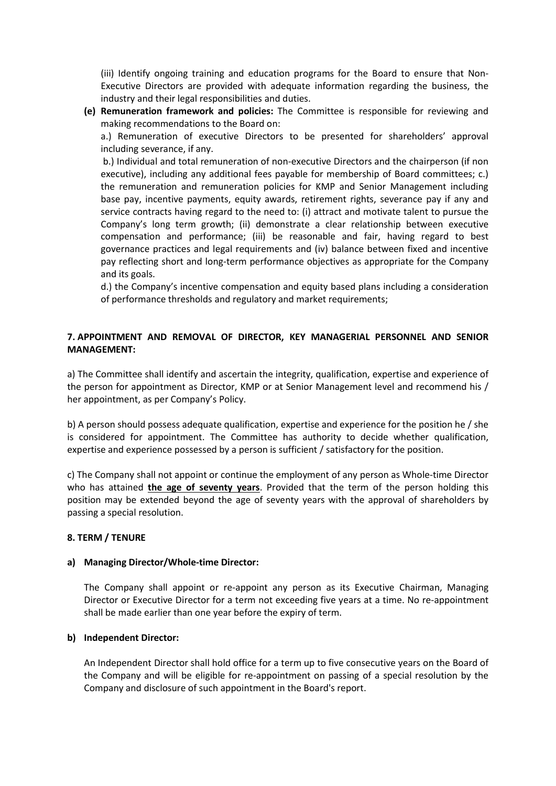(iii) Identify ongoing training and education programs for the Board to ensure that Non-<br>Executive Directors are provided with adequate information regarding the business, the<br>industry and their legal responsibilities and (iii) ldentify ongoing training and education programs for the Board to ensure that Non-<br>Executive Directors are provided with adequate information regarding the business, the<br>industry and their legal responsibilities and (iii) Identify ongoing training and education programs for the Board to ensure that Non-<br>Executive Directors are provided with adequate information regarding the business, the<br>industry and their legal responsibilities and (iii) Identify ongoing training and education programs for the Board to ensure that Non-<br>Executive Directors are provided with adequate information regarding the business, the<br>industry and their legal responsibilities and

(iii) Identify ongoing training and education programs for the Board to ensure that Non-<br>Executive Directors are provided with adequate information regarding the business, the<br>industry and their legal responsibilities and (iii) Identify ongoing training and education programs for the Board to ensure that Non-<br>Executive Directors are provided with adequate information regarding the business, the<br>industry and their legal responsibilities and (iii) Identify ongoing training and education programs for the Board to ensure that Non-<br>Executive Directors are provided with adequate information regarding the business, the<br>industry and their legal responsibilities and (ii) Identify ongoing training and education programs for the Board to ensure that Non-<br>
Executive Directors are provided with adequate information regarding the business, the<br> **ndustry and their legal responsibilities and** (iii) Identify ongoing training and education programs for the Board to ensure that Non-<br>Executive Directors are provided with adequate information regarding the business, the<br>industry and their legal responsibilities and (iii) Identify ongoing training and education programs for the Board to ensure that Non-<br>Executive Directors are provided with adequate information regarding the business, the<br>industry and their legal responsibilities and (iii) Identify ongoing training and education programs for the Board to ensure that Non-<br>Executive Directors are provided with adequate information regarding the business, the<br>industry and their legal responsibilities and (iii) Identify ongoing training and education programs for the Board to ensure that Non-<br>Executive Directors are provided with adequate information regarding the business, the<br>industry and their legal responsibilities and (iii) Identify ongoing training and education programs for the Board to ensure that Non-<br>Executive Directors are provided with adequate information regarding the business, the<br>industry and their legal responsibilities and (iii) Identify ongoing training and education programs for the Board to ensure that Non-<br>Executive Directors are provided with adequate information regarding the business, the<br>industry and their legal responsibilities and (iii) Identify ongoing training and education programs for the Board to ensure that Non-<br>Executive Directors are provided with adequate information regarding the business, the<br>industry and their legal responsibilities and (iii) Identify ongoing training and education programs for the Board to ensure that Non-<br>Executive Directors are provided with adequate information regarding the business, the<br>industry and their legal responsibilities and (iii) Identify ongoing training and education programs for the Board to ensure<br>Executive Directors are provided with adequate information regarding the b<br>industry and their legal responsibilities and duties.<br>**Remuneration** (iii) Identify ongoing training and education programs for the Board to ensure that Non-<br>Executive Directors are provided with adequate information regarding the business, the<br>industry and their legal responsibilities and (iii) Identify ongoing training and education programs for the Board to ensure that Non-Executive Directors are provided with adequate information regarding the business, the industry and their legal responsibilities and d **(e) Remuneration framework and policies:** The Committee is responsible for reviewing and making recommendations to the Board on:<br>
a). Remuneration of executive Directors to be presented for shareholders' approval<br>
and may including severance, if any.<br>
b.) Individual and total remuneration of non-executive Directors and the chaiperson (if non<br>
executive), including any additional fees payable for membership of Board committees; c.)<br>
the remu the person fif monotonical manneration of non-executive Directors and the chairperson (if non executive), including any additional ferso pay able for membership of Board committees; c.) the remuneration and remuneration po executive), including any additional fees payable for membership of Board committees; c.)<br>the remuneration and remuneration policies for KMP and Senior Management including<br>base pay, incentive payments, equity awards, reti base pay, incentive payments, equity awards, retirement rights, severance pay if any and<br>service contracts having regard to the need to: (i) altract and motivate talent to pursue the<br>Company's long term growth; (ii) demons is considerate the many experiment and this distance is the committee of company is long term growth; (iii) be reasonable and fair, having regard to best compensation and performance; (iii) be reasonable and fair, having r Experiment and performance growth, (ii) demonstrate a clear relationship between executive<br>company's long term growth; (ii) be reasonable and fair, having regard to best<br>governance practices and legal requirements and (iv)

# MANAGEMENT:

governance practices and legal requirements and (iv) balance between fixed and incentive<br>pay reflecting short and long-term performance objectives as appropriate for the Company<br>and it goals.<br>d.) the Company's incentive co pay reflecting short and long-term performance objectives as appropriate for the Company<br>and its gools.<br>
d.) the Company's incentive compensation and equity based plans including a consideration<br>
of performance thresholds position may be extended beyond the age of seventy years with the approval of shareholders by<br>a and its goals.<br>
The Company's incentive compensation and equity based plans including a consideration<br>
of performance threshol d.) the Company's incentive compensation and equity based plans including a cor<br>of performance thresholds and regulatory and market requirements;<br>7. APPOINTMENT AND REMOVAL OF DIRECTOR, KEY MANAGERIAL PERSONNEL AN<br>MANAGEME 7. APPOINTMENT AND REMOVAL OF DIRECTOR, KEY MANAGERIAL PERSONN<br>
MANAGEMENT:<br>
a) The Committee shall identify and ascertain the integrity, qualification, expertise the<br>
the person for appointment as Director, KMP or at Seni 7. APPOINTMENT AND REMOVAL OF DIRECTOR, KEY MANAGERIAL PERSONNEL AND SENIOR<br>
MANAGEMENT:<br>
a) The Committee shall identify and ascertain the integrity, qualification, expertise and experience of<br>
the person for appointment The Committee shall identify and ascertain the integrity, qualification, expertise and experience of<br>person for appointment as Director, KMP or at Senior Management level and recommend his /<br>appointment, as per Company's P he Committee shall identify and ascertain the integrity, qualification, expertise and experience of apsointment, as per Company's Policy. MMP or at Senior Management level and recommend his /<br>appointment, as per Company's person for appointment as Director, KMP or at Senior Management level and recommend his /<br>appointment, as per Company's Policy.<br>
person should possess adequate qualification, expertise and experience for the position he / b) A person should possess adequate qualification, expertise and experience for the position<br>is considered for appointment. The Committee has authority to decide whether quality<br>expertise and experience possessed by a pers positions and experiment. The Committee has authority to decide whether qualification, entise and experience possessed by a person is sufficient / satisfactory for the position.<br>
ECO many shall not appoint or continue the ertise and experience possessed by a person is sufficient / satisfactory for the position.<br>
The Company shall not appoint or continue the employment of any person as Whole-time Director<br>
has attained the age of seventy vea The Company shall not appoint or continue the employment of any person as Whole-time Director<br>has a tatined the age of seventy years. Provided that the term of the person holding this<br>tion may be extended beyond the age of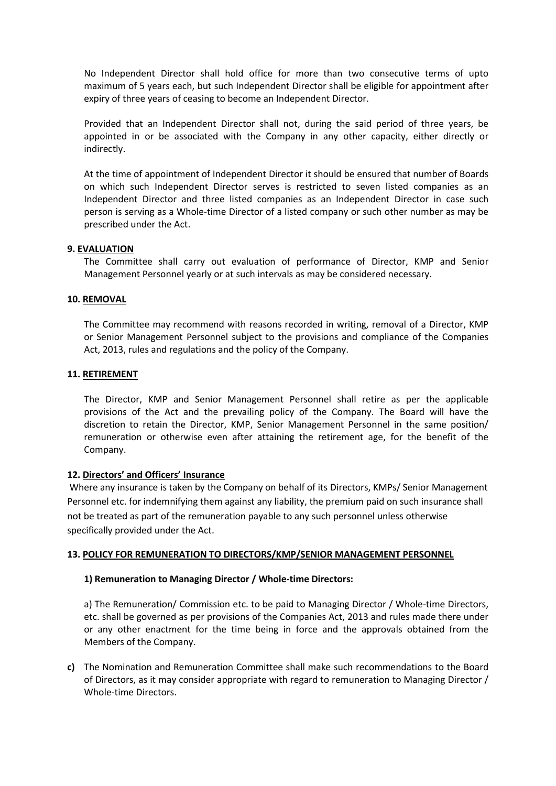No Independent Director shall hold office for more than two consecutive terms of upto<br>maximum of 5 years each, but such Independent Director shall be eligible for appointment after<br>expiry of three years of ceasing to becom No Independent Director shall hold office for more than two consecutive terms of upto maximum of 5 years each, but such Independent Director shall be eligible for appointment after expiry of three years of ceasing to becom No Independent Director shall hold office for more than two consecutive terms of upto<br>maximum of 5 years each, but such Independent Director shall be eligible for appointment after<br>expiry of three years of ceasing to becom No Independent Director shall hold office for more than two consecutive terms of upto<br>maximum of 5 years each, but such Independent Director shall be eligible for appointment after<br>expiry of three years of ceasing to becom

indirectly.

No Independent Director shall hold office for more than two consecutive terms of upto<br>maximum of 5 years each, but such Independent Director shall be eligible for appointment after<br>expiry of three years of ceasing to becom No Independent Director shall hold office for more than two consecutive terms of upto<br>maximum of 5 years each, but such Independent Director shall be eligible for appointment after<br>expiry of three years of ceasing to becom No Independent Director shall hold office for more than two consecutive terms of upto maximum of 5 years each, but such Independent Director shall be eligible for appointment after expiry of three years of ceasing to becom No Independent Director shall hold office for more than two consecutive terms of upto<br>maximum of 5 years each, but such Independent Director shall be eligible for appointment after<br>expiry of three years of ceasing to becom No Independent Director shall hold office for more than two consecutive terms of upto maximum of 5 years each, but such Independent Director shall be eligible for appointment after expiry of three years of ceasing to becom No Independent Director shall hold office for more than two consecutive terms of up<br>maximum of 5 years each, but such Independent Director shall be eligible for appointment aft<br>expiry of three years of ceasing to become an No Independent Director shall hold office for more than two cor<br>maximum of 5 years each, but such Independent Director shall be eligit<br>expiry of three years of ceasing to become an Independent Director.<br>Provided that an In No Independent Director shall hold office for more than two consecutive terms of upto<br>maximum of 5 years each, but such Independent Director shall be eligible for appointment after<br>expiry of three years of ceasing to becom No Independent Director shall hold office for more than two consecutive terms of upto<br>maximum of 5 years each, but such Independent Director shall be eligible for appointment after<br>expiry of three years of ceasing to becom No Independent Director shall hold office for more than two cons<br>maximum of 5 years each, but such Independent Director shall be eligibl<br>expiry of three years of ceasing to become an Independent Director.<br>Provided that an Expliny of three years of ceasing to become an independent Director.<br>
Provided that an Independent Director shall not, during the said period of three years, be appointed in or be associated with the Company in any other c or Provident and Independent Director shall not, during the said period of three years, be<br>Provided that an Independent Director shall not, during the said period of three years, be<br>indirectly.<br>At the time of appointment o Provided that an Independent Director shall not, during the said period of three years, be<br>appointed in or be associated with the Company in any other capacity, either directly or<br>indirectly.<br>At the time of appointment of The Director, KMP and Senior Management Personnel shall retire<br>
11. RETIREMENT<br>
The Director, KMP and Senior Management Person is serviced and the Director of a listed companies as an Independent<br>
11. Person is serving as

At the time of appointment of Independent Director it should be ensured that number of Boards<br>on which such Independent Director serves is restricted to seven listed companies as an<br>Independent Director and three listed co on which such independent Director serves is restricted to seven listed companies as an independent Director and three listed companies as an independent Director in case such independent Director and three listed company Independent Director and three listed companies as an Independent Director in case such<br>prescribed under the Act.<br>person is serving as a Whole-time Director of a listed company or such other number as may be<br>prescribed und person is serving as a Whole-time Director of a listed company or such other number as may be<br>prescribed under the Act.<br>**VALUATION**<br>The Committee shall carry out evaluation of performance of Director, KMP and Senior<br>The Co Company. 9. **EVALUATION**<br>
The Committee shall carry out evaluation of performance of Director, KMP and Senior<br>
Management Personnel yearly or at such intervals as may be considered necessary.<br>
10. <u>REMOVAL</u><br>
The Committee may recom The Committee shall carry out evaluation of performance of Director, KMP and Senior<br>
Management Personnel yearly or at such intervals as may be considered necessary.<br>
10. **REMOVAL**<br>
The Committee may recommend with reasons Management Personnel yearly or at such intervals as may be considered necessary.<br>
10. <u>REMOVAL</u><br>
The Committee may recommend with reasons recorded in writing, removal of a Director, KMP<br>
or Senior Management Personnel subj **10. REMOVAL**<br> **The Committee may recommend with reasons recorded in writing, removal of a Director, KMP**<br>
or Senior Management Personnel subject to the provisions and compliance of the Companies<br>
Act, 2013, rules and regu **10. <u>REMOVAL</u>**<br>The Committee may recommend with reasons recorded in writing, removal of a Director, KMP<br>or Senior Management Personnel subject to the provisions and compliance of the Companies<br>Act, 2013, rules and regulat The Committee may recommend with reasons recorded in writing, removal of a Director, KMP<br>or Senior Management Personnel subject to the provisions and compliance of the Companies<br>Act, 2013, rules and regulations and the pol Act, 2013, rules and regulations and the policy of the Company.<br> **RETIREMENT**<br>
The Director, KMP and Senior Management Personnel shall retire as per the applicable<br>
provisions of the Act and the prevailing policy of the Co **RETIREMENT**<br>The Director, KMP and Senior Management Personnel shall retire as per the applicable<br>provisions of the Act and the prevailing policy of the Company. The Board will have the<br>discretion to retain the Director, K The Director, KMP and Senior Management Personnel shall retire as per the applicable<br>provisions of the Act and the prevailing policy of the Company. The Board will have the<br>discretion to retain the Director, KMP, Senior Ma The Director, KMP and Senior Management Personnel shall retire as per the applicable<br>provisions of the Act and the prevailing policy of the Company. The Board will have the<br>discretion to retain the Director, KMP, Senior Ma

provisions of the Act and the prevailing policy of the Company. The Board will hat<br>discretion to retain the Director, KMP, Senior Management Personnel in the same politicare<br>tion to retain the Director, KMP, Senior Managem remuneration or otherwise even after attaining the retirement age, for the benefit of the<br>
Company.<br>
2D. <u>Directors' and Officers' Insurance</u><br>
Where any insurance is taken by the Company on behalf of its Directors, KMPs/ S Company.<br>Directors' and Officers' Insurance<br>or eany insurance is taken by the Company on behalf of its Directors, KMPs/ Senior Management<br>crear any insurance is taken by the Company in behalf of its Directors, KMPs/ Senior Directors' and Officers' Insurance<br>ere any insurance is taken by the Company on behalf of its Directors, KMPs/ Senior Mi<br>connel etc. for indemnifying them against any liability, the premium paid on such insur<br>be treated as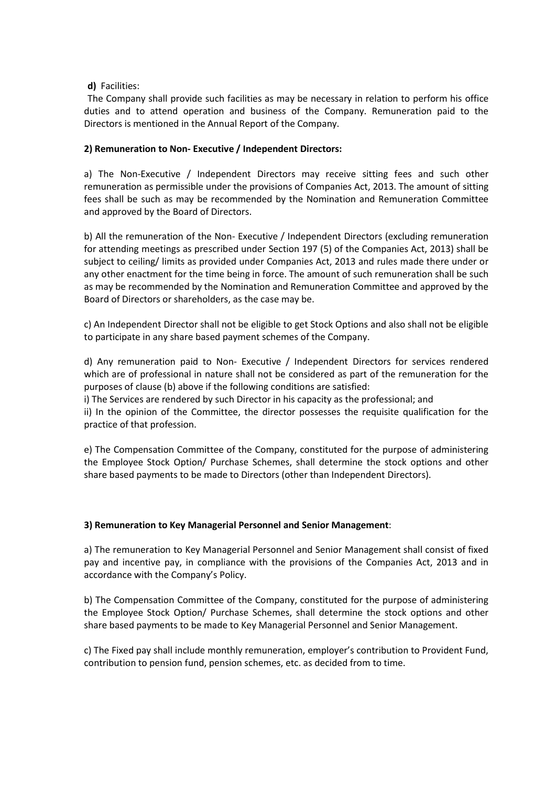## d) Facilities:

**d)** Facilities:<br>The Company shall provide such facilities as may be necessary in relation to perform his office<br>luties and to attend operation and business of the Company.<br>Remuneration paid to the<br>Pirectors is mentioned i d) Facilities:<br>The Company shall provide such facilities as may be necessary in relation to perform his office<br>duties and to attend operation and business of the Company. Remuneration paid to the<br>Directors is mentioned in **d)** Facilities:<br>The Company shall provide such facilities as may be necessary in relation to perform his office<br>duties and to attend operation and business of the Company. Remuneration paid to the<br>Directors is mentioned i

**d)** Facilities:<br> **COMPACT THE COMPACT TO THE COMPACT TO THE COMPACT TO THE COMPACT TO THE COMPACT TO A DETECTOR SIMULE DURIES OF THE DIRECTOR IS METHEM DIRECTORS is mentioned in the Annual Report of the Company.<br>
<b>2) Remu d)** Facilities:<br>The Company shall provide such facilities as may be necessary in relation to perform his office<br>duties and to attend operation and business of the Company. Remuneration paid to the<br>Directors is mentioned i **d)** Facilities:<br>The Company shall provide such facilities as may be necessary in relation to perform his office<br>duties and to attend operation and business of the Company. Remuneration paid to the<br>Directors is mentioned i **d)** Facilities:<br>The Company shall provide such facilities as may be necessary in relation to perform his office<br>The Company shall provide such and business of the Company. Remuneration paid to the<br>Directors is mentioned i

**d)** Facilities:<br>The Company shall provide such facilities as may be necessary in relation to perform his office<br>duties and to attend operation and business of the Company. Remuneration paid to the<br>Directors is mentioned i **d)** Facilities:<br>
The Company shall provide such facilities as may be necessary in relation to perform his office<br>
duties and to attend operation and business of the Company. Remuneration paid to the<br>
Directors is mention **ch** Facilities:<br>The Company shall provide such facilities as may be necessary in relation to perform his office<br>duties and to attend operation and business of the Company. Remuneration paid to the<br>Directors is mentioned i **d)** Facilities:<br>The Company shall provide such facilities as may be necessary in relation to perform his office<br>duties and to attend operation and business of the Company. Remuneration paid to the<br>**2) Remuneration to Non d)** Facilities:<br>The Company shall provide such facilities as may be necessary in relation to perform his office<br>duties and to attend operation and business of the Company. Remuneration paid to the<br>Directors is mentioned **d)** Facilities:<br>The Company shall provide such facilities as may be necessary in relation to perform his office<br>duties and to attend operation and business of the Company. Remuneration paid to the<br>Directors is mentioned d) Facilities:<br>The Company shall provide such facilities as may be necessary in relation to perform his office<br>duties and to attend operation and business of the Company. Remuneration paid to the<br>Directors is mentioned in The Company shall provide such facilities as may be necessary in relation to perform his office<br>duties and to attend operation and business of the Company. Remuneration paid to the<br>Directors is mentioned in the Annual Repo duties and to attend operation and business of the Company. Remuneration paid to the<br>Directors is mentioned in the Annual Report of the Company.<br> **2) Remuneration to Non-Executive /** Independent Directors:<br>
a) The Non-Exec 2) Remuneration to Non- Executive / Independent Directors:<br>
a) The Non-Executive / Independent Directors may receive sitting fees and such other remuneration as permissible under the provisions of Companies Act, 2013. The 2) Remuneration to Non-Executive / Independent Directors:<br>a) The Non-Executive / Independent Directors may receive sitting fees and such other<br>remuneration as permissible under the provisions of Companies Act, 2013. The a purposes of clause (b) above if the following conditions are expected by the promission of the promission of companies Act, 2013. The amount of sitting fees shall be such as may be recommended by the Nomination and Remuner a) The Non-Executive / Independent Directors may receive sitting fees and such other remuneration as permissible under the provisions of Companies Act, 2013. The amount of sitting remuneration as permissible under the prov remuneration as permissible under the provisions of Companies Act, 2013. The amount of sitting<br>fees shall be such as may be recommended by the Nomination and Remuneration Committee<br>and approved by the Board of Directors.<br> Fees shall be such as may be recommended by the Nomination and Remuneration Cor<br>fees shall be such as may be recommended by the Nomination and Remuneration Cor<br>and approved by the Board of Directors.<br>b) All the remuneratio e) all the remuneration of the Non-Executive / Independent Directors (excluding remuneration b) All the remuneratios as prescribed under Section 197 (5) of the Companies Act, 2013) shall be subject to celling/ limits as pr b) All the remuneration of the Non-Executive / Independent Directors (excluding remuneration<br>for attending metetings as prescribed under Section 197 (5) of the Companies Act, 2013 and all small be<br>subject to celling / limi for attending meetings as prescribed under Section 197 (5) of the Companies Act, 2013) shall be subject to celling (limits as provided under Section 197 (5) of the Companies Act, 2013) shall be subject to celling (limits a

Board of Directors or shareholders, as the case may be.<br>
Soard of Directors or shareholders, as the case may be.<br>
c) An Independent Director shall not be eligible to get Stock Options and also shall not be eligible<br>
to par c) An Independent Director shall not be eligible to get Stock Options and also shall not be eligible<br>to participate in any share based payment schemes of the Company.<br>
d) Any remuneration paid to Non-Executive / Independen For the comparation to a Key Managerial Personnel and Senior Management. All other the Company.<br>
The Services is and to Non-Executive / Independent Directors for services rendered<br>
which are of professional in nature shall and May remunneration paid to Non-Executive / Independent Directors for services rendered<br>and which are of professional in nature shall not be considered as part of the remuneration for the<br>purposes of clause (b) above if

by thin, are of professional in nature shall not be considered as part of the remuneration for the variable of the services of clause (b) above if the following conditions are satisfied:<br>
i) The Services are rendered by su purposes of clause (b) above if the following conditions are satisfied:<br>
i) The Services are rendered by such Director in his capacity as the professional; and<br>
ii) In the opinion of the Committee, the director possesses t **Example 19** The Services are rendered by such Director in his capacity as the professional; and<br>ii) In the opinion of the Committee, the director possesses the requisite qualification for the<br>practice of that profession.<br> practice of that profession.<br>
e) The Compensation Committee of the Company, constituted for the purpose of administering<br>
the Employee Stock Option/ Purchase Schemes, shall determine the stock options and other<br>
share base pentral of the Company, constituted for the purpose of administering<br>e) The Compensation Control Purchase Schemes, shall determine the stock options and other<br>share based payments to be made to Directors (other than Indepe